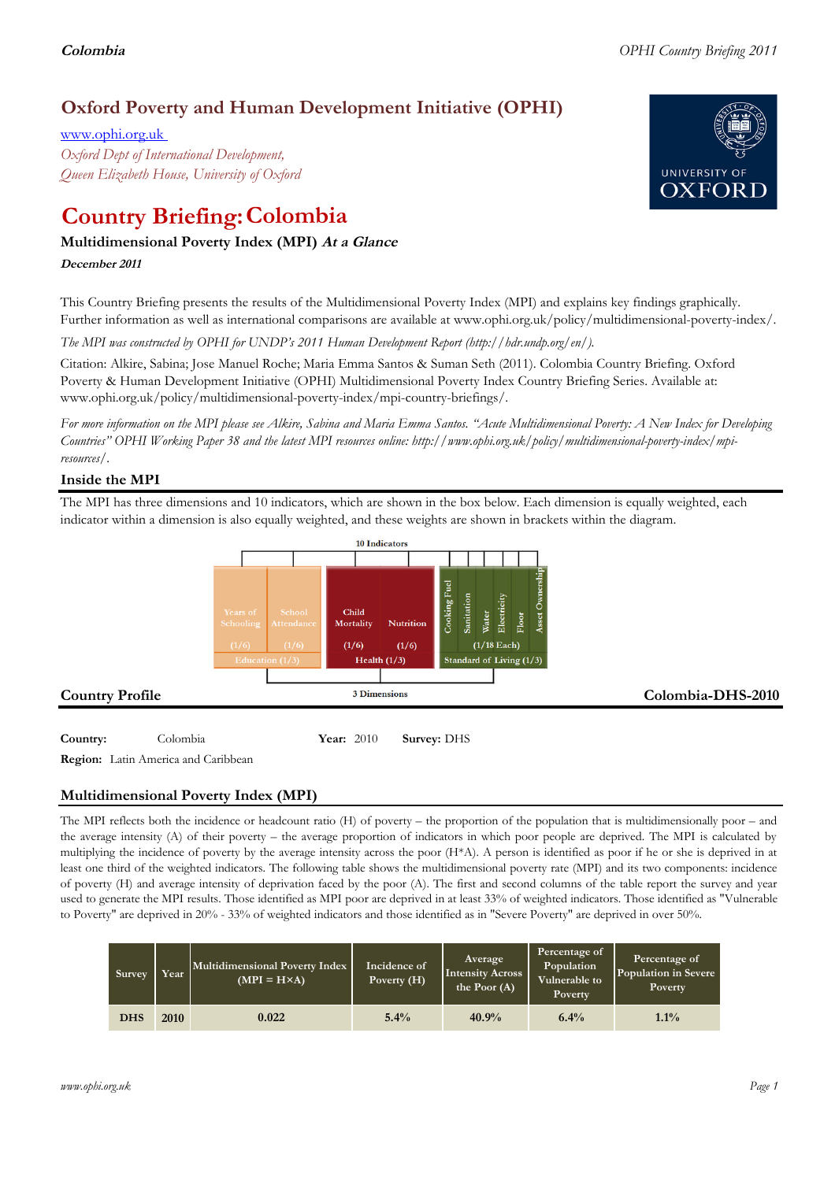# **Oxford Poverty and Human Development Initiative (OPHI)**

www.ophi.org.uk *Oxford Dept of International Development, Queen Elizabeth House, University of Oxford*

# **Country Briefing: Colombia**

# **Multidimensional Poverty Index (MPI) At <sup>a</sup> Glance**

**December <sup>2011</sup>**

This Country Briefing presents the results of the Multidimensional Poverty Index (MPI) and explains key findings graphically. Further information as well as international comparisons are available at www.ophi.org.uk/policy/multidimensional-poverty-index/.

*The MPI was constructed by OPHI for UNDP's 2011 Human Development Report (http://hdr.undp.org/en/).*

Citation: Alkire, Sabina; Jose Manuel Roche; Maria Emma Santos & Suman Seth (2011). Colombia Country Briefing. Oxford Poverty & Human Development Initiative (OPHI) Multidimensional Poverty Index Country Briefing Series. Available at: www.ophi.org.uk/policy/multidimensional-poverty-index/mpi-country-briefings/.

*For more information on the MPI please see Alkire, Sabina and Maria Emma Santos. "Acute Multidimensional Poverty: A New Index for Developing Countries" OPHI Working Paper 38 and the latest MPI resources online: http://www.ophi.org.uk/policy/multidimensional-poverty-index/mpiresources/.*

# **Inside the MPI**

The MPI has three dimensions and 10 indicators, which are shown in the box below. Each dimension is equally weighted, each indicator within a dimension is also equally weighted, and these weights are shown in brackets within the diagram.



# **Country:** 3 Colombia 3 2010 **Survey:** DHS

**Region:** Latin America and Caribbean

# **Multidimensional Poverty Index (MPI)**

The MPI reflects both the incidence or headcount ratio (H) of poverty – the proportion of the population that is multidimensionally poor – and the average intensity (A) of their poverty – the average proportion of indicators in which poor people are deprived. The MPI is calculated by multiplying the incidence of poverty by the average intensity across the poor (H\*A). A person is identified as poor if he or she is deprived in at least one third of the weighted indicators. The following table shows the multidimensional poverty rate (MPI) and its two components: incidence of poverty (H) and average intensity of deprivation faced by the poor (A). The first and second columns of the table report the survey and year used to generate the MPI results. Those identified as MPI poor are deprived in at least 33% of weighted indicators. Those identified as "Vulnerable to Poverty" are deprived in 20% - 33% of weighted indicators and those identified as in "Severe Poverty" are deprived in over 50%.

| Survey     | Year | Multidimensional Poverty Index<br>$(MPI = H \times A)$ | Incidence of<br>Poverty (H) | <b>Average</b><br><b>Intensity Across</b><br>the Poor $(A)$ | Percentage of<br>Population<br>Vulnerable to<br><b>Poverty</b> | Percentage of<br>Population in Severe<br>Poverty |
|------------|------|--------------------------------------------------------|-----------------------------|-------------------------------------------------------------|----------------------------------------------------------------|--------------------------------------------------|
| <b>DHS</b> | 2010 | 0.022                                                  | $5.4\%$                     | 40.9%                                                       | 6.4%                                                           | $1.1\%$                                          |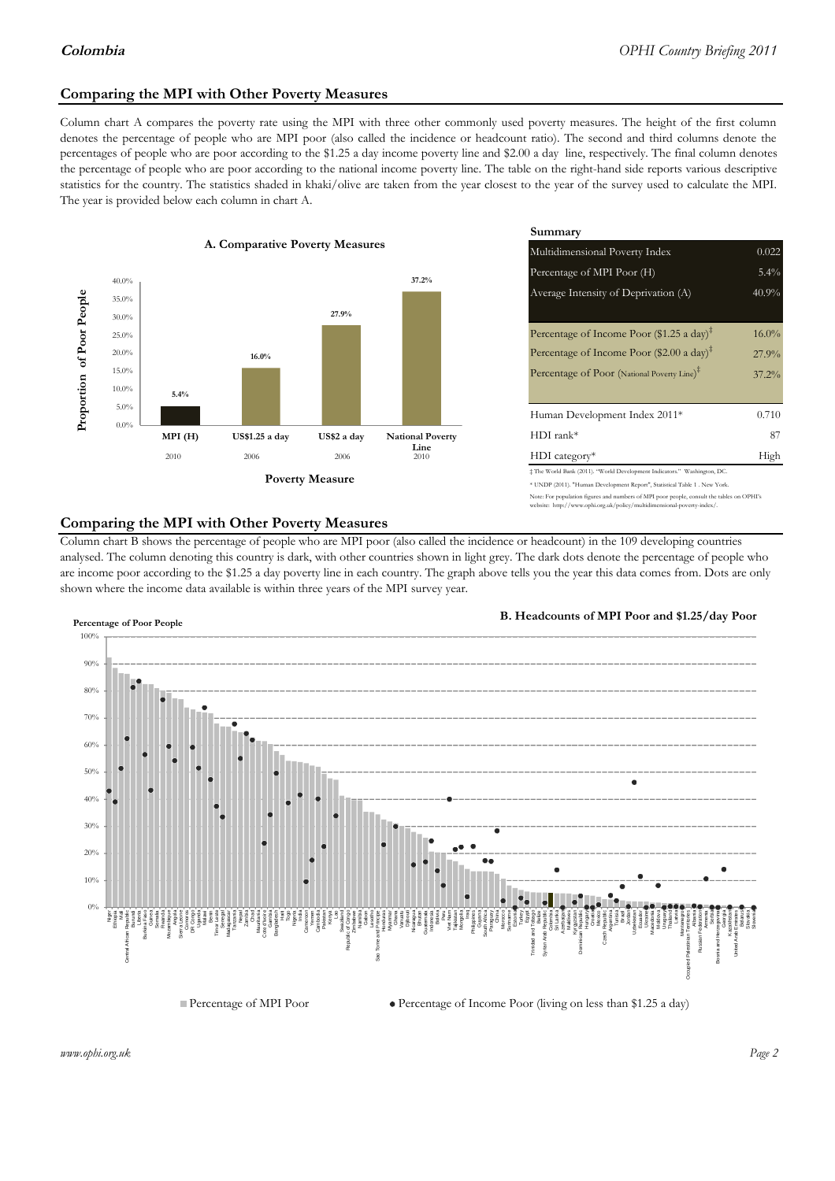## **Comparing the MPI with Other Poverty Measures**

Column chart A compares the poverty rate using the MPI with three other commonly used poverty measures. The height of the first column denotes the percentage of people who are MPI poor (also called the incidence or headcount ratio). The second and third columns denote the percentages of people who are poor according to the \$1.25 a day income poverty line and \$2.00 a day line, respectively. The final column denotes the percentage of people who are poor according to the national income poverty line. The table on the right-hand side reports various descriptive statistics for the country. The statistics shaded in khaki/olive are taken from the year closest to the year of the survey used to calculate the MPI. The year is provided below each column in chart A.



|                 |                         | Summary                                                                                                                                                |          |  |  |
|-----------------|-------------------------|--------------------------------------------------------------------------------------------------------------------------------------------------------|----------|--|--|
| erty Measures   |                         | 0.022<br>Multidimensional Poverty Index                                                                                                                |          |  |  |
|                 | 37.2%                   | Percentage of MPI Poor (H)                                                                                                                             | 5.4%     |  |  |
| 27.9%           |                         | Average Intensity of Deprivation (A)                                                                                                                   | 40.9%    |  |  |
|                 |                         | Percentage of Income Poor (\$1.25 a day) <sup><math>\ddagger</math></sup>                                                                              | $16.0\%$ |  |  |
|                 |                         | Percentage of Income Poor $(\$2.00 \text{ a day})^{\ddagger}$                                                                                          | 27.9%    |  |  |
|                 |                         | Percentage of Poor (National Poverty Line) <sup>#</sup>                                                                                                | $37.2\%$ |  |  |
|                 |                         | Human Development Index 2011*                                                                                                                          | 0.710    |  |  |
| US\$2 a day     | <b>National Poverty</b> | $HDI$ rank*                                                                                                                                            | 87       |  |  |
| 2006            | Line<br>2010            | $HDI category*$                                                                                                                                        | High     |  |  |
| <b>⁄Ieasure</b> |                         | # The World Bank (2011). "World Development Indicators." Washington, DC.<br>* UNDP (2011). "Human Development Report", Statistical Table 1 . New York. |          |  |  |

te: For population figures and numbers of MPI poor people, consult the tables on OPHI's te: http://www.ophi.org.uk/policy/multidimensional-poverty-index/

#### **Comparing the MPI with Other Poverty Measures**

Column chart B shows the percentage of people who are MPI poor (also called the incidence or headcount) in the 109 developing countries analysed. The column denoting this country is dark, with other countries shown in light grey. The dark dots denote the percentage of people who are income poor according to the \$1.25 a day poverty line in each country. The graph above tells you the year this data comes from. Dots are only shown where the income data available is within three years of the MPI survey year.



**B. Headcounts of MPI Poor and \$1.25/day Poor**



*www.ophi.org.uk Page 2*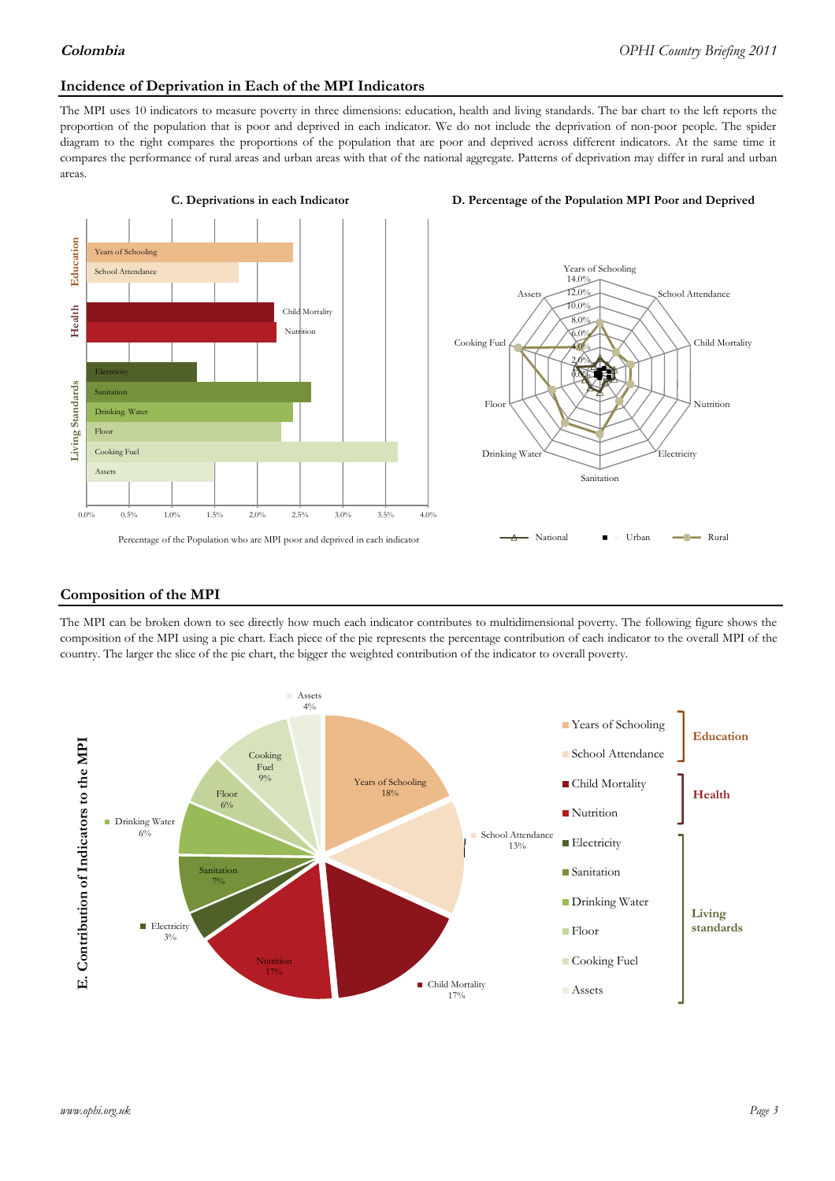#### **Incidence of Deprivation in Each of the MPI Indicators**

The MPI uses 10 indicators to measure poverty in three dimensions: education, health and living standards. The bar chart to the left reports the proportion of the population that is poor and deprived in each indicator. We do not include the deprivation of non-poor people. The spider diagram to the right compares the proportions of the population that are poor and deprived across different indicators. At the same time it compares the performance of rural areas and urban areas with that of the national aggregate. Patterns of deprivation may differ in rural and urban areas.





#### **Composition of the MPI**

The MPI can be broken down to see directly how much each indicator contributes to multidimensional poverty. The following figure shows the composition of the MPI using a pie chart. Each piece of the pie represents the percentage contribution of each indicator to the overall MPI of the country. The larger the slice of the pie chart, the bigger the weighted contribution of the indicator to overall poverty.

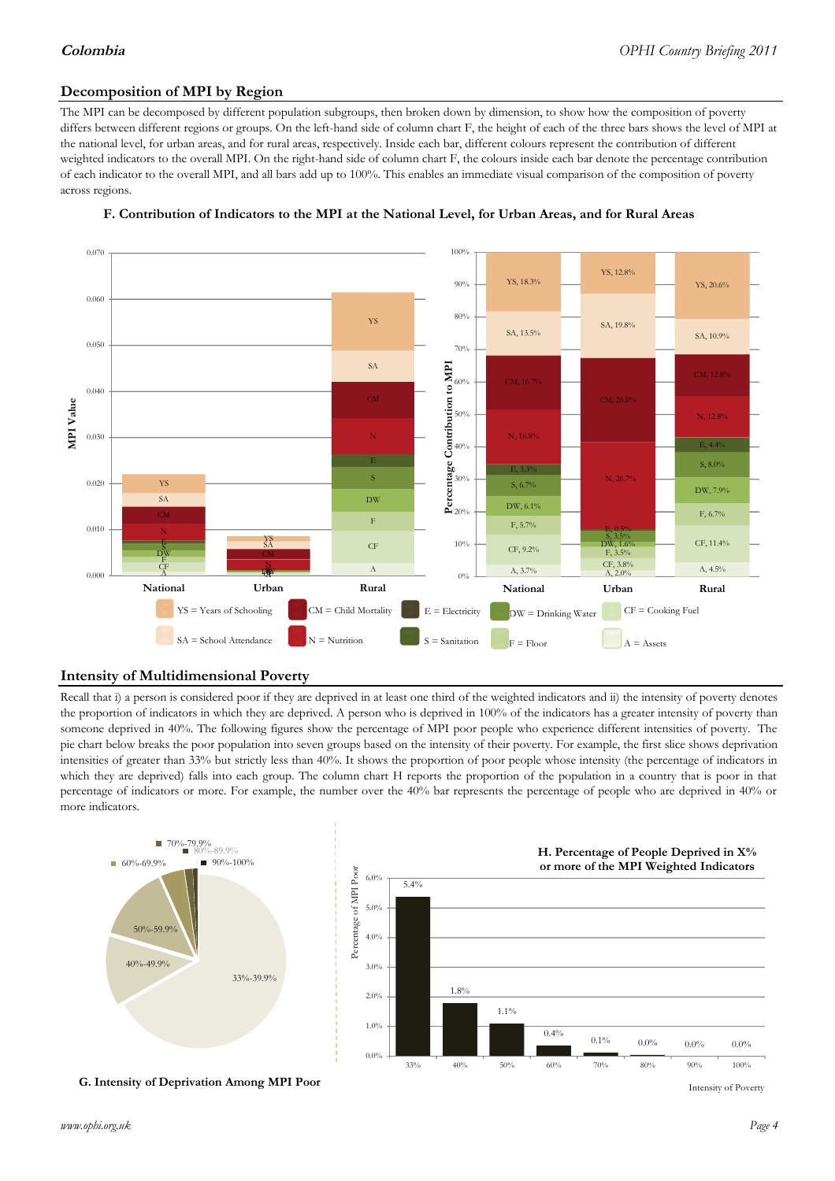## **Decomposition of MPI by Region**

The MPI can be decomposed by different population subgroups, then broken down by dimension, to show how the composition of poverty differs between different regions or groups. On the left-hand side of column chart F, the height of each of the three bars shows the level of MPI at the national level, for urban areas, and for rural areas, respectively. Inside each bar, different colours represent the contribution of different weighted indicators to the overall MPI. On the right-hand side of column chart F, the colours inside each bar denote the percentage contribution of each indicator to the overall MPI, and all bars add up to 100%. This enables an immediate visual comparison of the composition of poverty across regions.



#### **F. Contribution of Indicators to the MPI at the National Level, for Urban Areas, and for Rural Areas**

#### **Intensity of Multidimensional Poverty**

Recall that i) a person is considered poor if they are deprived in at least one third of the weighted indicators and ii) the intensity of poverty denotes the proportion of indicators in which they are deprived. A person who is deprived in 100% of the indicators has a greater intensity of poverty than someone deprived in 40%. The following figures show the percentage of MPI poor people who experience different intensities of poverty. The pie chart below breaks the poor population into seven groups based on the intensity of their poverty. For example, the first slice shows deprivation intensities of greater than 33% but strictly less than 40%. It shows the proportion of poor people whose intensity (the percentage of indicators in which they are deprived) falls into each group. The column chart H reports the proportion of the population in a country that is poor in that percentage of indicators or more. For example, the number over the 40% bar represents the percentage of people who are deprived in 40% or more indicators.



**G. Intensity of Deprivation Among MPI Poor**

Intensity of Poverty